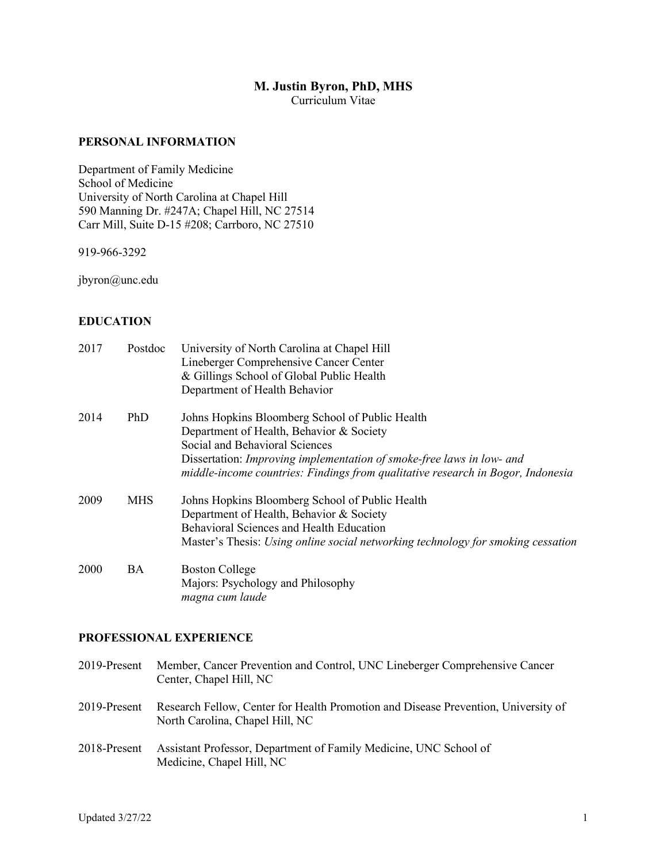# **M. Justin Byron, PhD, MHS**

Curriculum Vitae

## **PERSONAL INFORMATION**

Department of Family Medicine School of Medicine University of North Carolina at Chapel Hill 590 Manning Dr. #247A; Chapel Hill, NC 27514 Carr Mill, Suite D-15 #208; Carrboro, NC 27510

919-966-3292

jbyron@unc.edu

## **EDUCATION**

| 2017 | Postdoc    | University of North Carolina at Chapel Hill<br>Lineberger Comprehensive Cancer Center<br>& Gillings School of Global Public Health<br>Department of Health Behavior                                                                                                                       |
|------|------------|-------------------------------------------------------------------------------------------------------------------------------------------------------------------------------------------------------------------------------------------------------------------------------------------|
| 2014 | PhD        | Johns Hopkins Bloomberg School of Public Health<br>Department of Health, Behavior & Society<br>Social and Behavioral Sciences<br>Dissertation: Improving implementation of smoke-free laws in low- and<br>middle-income countries: Findings from qualitative research in Bogor, Indonesia |
| 2009 | <b>MHS</b> | Johns Hopkins Bloomberg School of Public Health<br>Department of Health, Behavior & Society<br><b>Behavioral Sciences and Health Education</b><br>Master's Thesis: Using online social networking technology for smoking cessation                                                        |
| 2000 | BA         | <b>Boston College</b><br>Majors: Psychology and Philosophy<br>magna cum laude                                                                                                                                                                                                             |

## **PROFESSIONAL EXPERIENCE**

| 2019-Present | Member, Cancer Prevention and Control, UNC Lineberger Comprehensive Cancer<br>Center, Chapel Hill, NC                 |
|--------------|-----------------------------------------------------------------------------------------------------------------------|
| 2019-Present | Research Fellow, Center for Health Promotion and Disease Prevention, University of<br>North Carolina, Chapel Hill, NC |
| 2018-Present | Assistant Professor, Department of Family Medicine, UNC School of<br>Medicine, Chapel Hill, NC                        |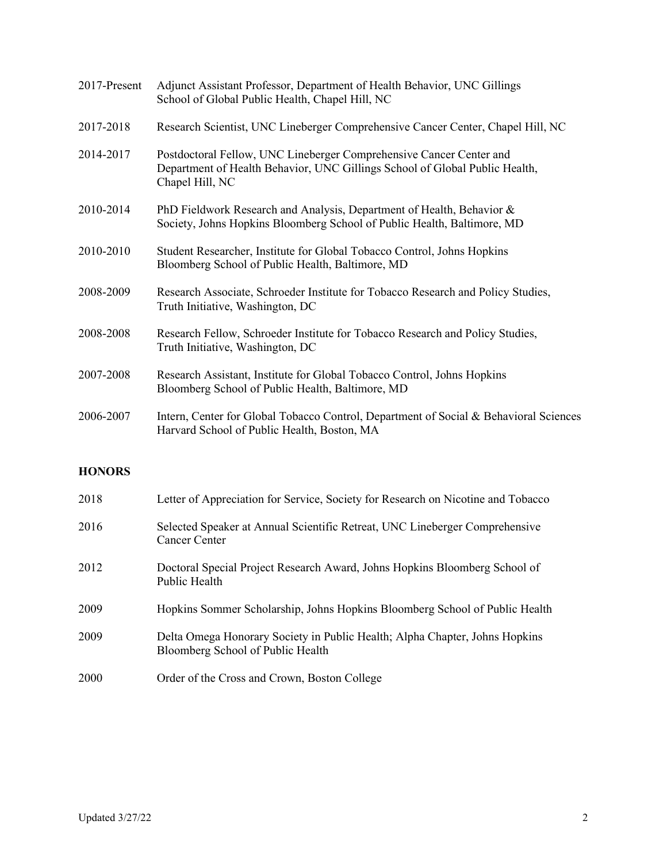| 2017-Present | Adjunct Assistant Professor, Department of Health Behavior, UNC Gillings<br>School of Global Public Health, Chapel Hill, NC                                           |
|--------------|-----------------------------------------------------------------------------------------------------------------------------------------------------------------------|
| 2017-2018    | Research Scientist, UNC Lineberger Comprehensive Cancer Center, Chapel Hill, NC                                                                                       |
| 2014-2017    | Postdoctoral Fellow, UNC Lineberger Comprehensive Cancer Center and<br>Department of Health Behavior, UNC Gillings School of Global Public Health,<br>Chapel Hill, NC |
| 2010-2014    | PhD Fieldwork Research and Analysis, Department of Health, Behavior &<br>Society, Johns Hopkins Bloomberg School of Public Health, Baltimore, MD                      |
| 2010-2010    | Student Researcher, Institute for Global Tobacco Control, Johns Hopkins<br>Bloomberg School of Public Health, Baltimore, MD                                           |
| 2008-2009    | Research Associate, Schroeder Institute for Tobacco Research and Policy Studies,<br>Truth Initiative, Washington, DC                                                  |
| 2008-2008    | Research Fellow, Schroeder Institute for Tobacco Research and Policy Studies,<br>Truth Initiative, Washington, DC                                                     |
| 2007-2008    | Research Assistant, Institute for Global Tobacco Control, Johns Hopkins<br>Bloomberg School of Public Health, Baltimore, MD                                           |
| 2006-2007    | Intern, Center for Global Tobacco Control, Department of Social & Behavioral Sciences<br>Harvard School of Public Health, Boston, MA                                  |

# **HONORS**

| 2018 | Letter of Appreciation for Service, Society for Research on Nicotine and Tobacco                                 |
|------|------------------------------------------------------------------------------------------------------------------|
| 2016 | Selected Speaker at Annual Scientific Retreat, UNC Lineberger Comprehensive<br>Cancer Center                     |
| 2012 | Doctoral Special Project Research Award, Johns Hopkins Bloomberg School of<br>Public Health                      |
| 2009 | Hopkins Sommer Scholarship, Johns Hopkins Bloomberg School of Public Health                                      |
| 2009 | Delta Omega Honorary Society in Public Health; Alpha Chapter, Johns Hopkins<br>Bloomberg School of Public Health |
| 2000 | Order of the Cross and Crown, Boston College                                                                     |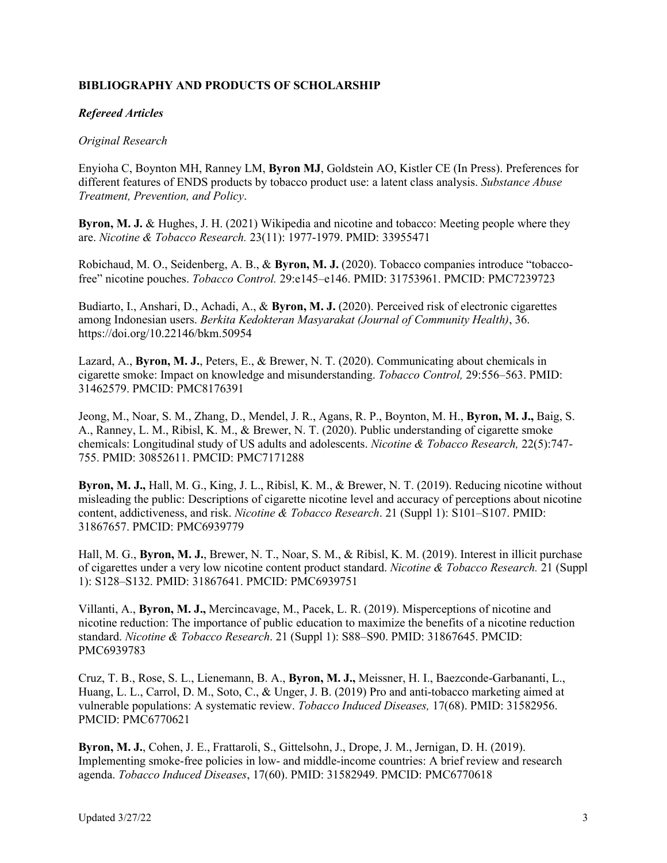# **BIBLIOGRAPHY AND PRODUCTS OF SCHOLARSHIP**

## *Refereed Articles*

## *Original Research*

Enyioha C, Boynton MH, Ranney LM, **Byron MJ**, Goldstein AO, Kistler CE (In Press). Preferences for different features of ENDS products by tobacco product use: a latent class analysis. *Substance Abuse Treatment, Prevention, and Policy*.

**Byron, M. J.** & Hughes, J. H. (2021) Wikipedia and nicotine and tobacco: Meeting people where they are. *Nicotine & Tobacco Research.* 23(11): 1977-1979. PMID: 33955471

Robichaud, M. O., Seidenberg, A. B., & **Byron, M. J.** (2020). Tobacco companies introduce "tobaccofree" nicotine pouches. *Tobacco Control.* 29:e145–e146. PMID: 31753961. PMCID: PMC7239723

Budiarto, I., Anshari, D., Achadi, A., & **Byron, M. J.** (2020). Perceived risk of electronic cigarettes among Indonesian users. *Berkita Kedokteran Masyarakat (Journal of Community Health)*, 36. https://doi.org/10.22146/bkm.50954

Lazard, A., **Byron, M. J.**, Peters, E., & Brewer, N. T. (2020). Communicating about chemicals in cigarette smoke: Impact on knowledge and misunderstanding. *Tobacco Control,* 29:556–563. PMID: 31462579. PMCID: PMC8176391

Jeong, M., Noar, S. M., Zhang, D., Mendel, J. R., Agans, R. P., Boynton, M. H., **Byron, M. J.,** Baig, S. A., Ranney, L. M., Ribisl, K. M., & Brewer, N. T. (2020). Public understanding of cigarette smoke chemicals: Longitudinal study of US adults and adolescents. *Nicotine & Tobacco Research,* 22(5):747- 755. PMID: 30852611. PMCID: PMC7171288

**Byron, M. J.,** Hall, M. G., King, J. L., Ribisl, K. M., & Brewer, N. T. (2019). Reducing nicotine without misleading the public: Descriptions of cigarette nicotine level and accuracy of perceptions about nicotine content, addictiveness, and risk. *Nicotine & Tobacco Research*. 21 (Suppl 1): S101–S107. PMID: 31867657. PMCID: PMC6939779

Hall, M. G., **Byron, M. J.**, Brewer, N. T., Noar, S. M., & Ribisl, K. M. (2019). Interest in illicit purchase of cigarettes under a very low nicotine content product standard. *Nicotine & Tobacco Research.* 21 (Suppl 1): S128–S132. PMID: 31867641. PMCID: PMC6939751

Villanti, A., **Byron, M. J.,** Mercincavage, M., Pacek, L. R. (2019). Misperceptions of nicotine and nicotine reduction: The importance of public education to maximize the benefits of a nicotine reduction standard. *Nicotine & Tobacco Research*. 21 (Suppl 1): S88–S90. PMID: 31867645. PMCID: PMC6939783

Cruz, T. B., Rose, S. L., Lienemann, B. A., **Byron, M. J.,** Meissner, H. I., Baezconde-Garbananti, L., Huang, L. L., Carrol, D. M., Soto, C., & Unger, J. B. (2019) Pro and anti-tobacco marketing aimed at vulnerable populations: A systematic review. *Tobacco Induced Diseases,* 17(68). PMID: 31582956. PMCID: PMC6770621

**Byron, M. J.**, Cohen, J. E., Frattaroli, S., Gittelsohn, J., Drope, J. M., Jernigan, D. H. (2019). Implementing smoke-free policies in low- and middle-income countries: A brief review and research agenda. *Tobacco Induced Diseases*, 17(60). PMID: 31582949. PMCID: PMC6770618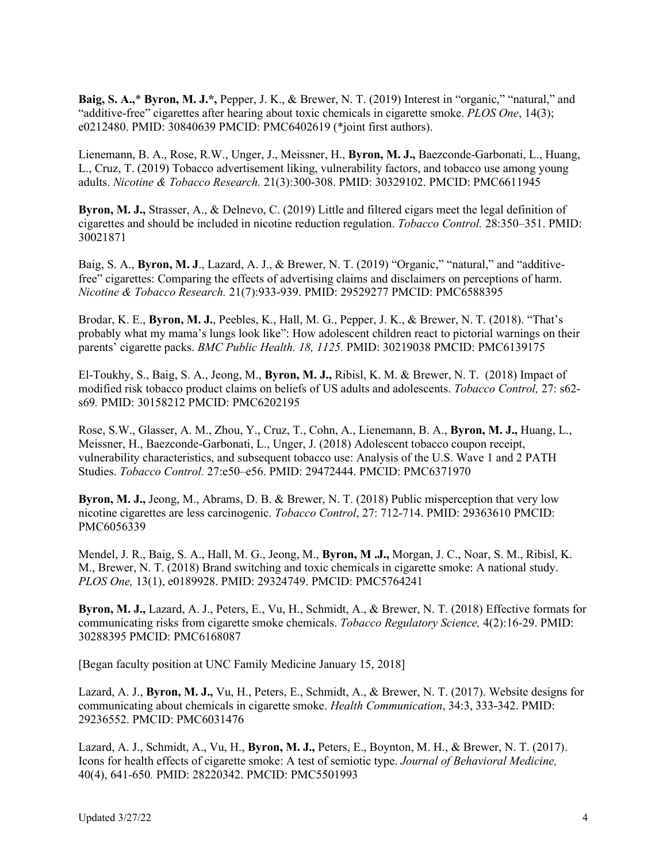**Baig, S. A.,**\* **Byron, M. J.\*,** Pepper, J. K., & Brewer, N. T. (2019) Interest in "organic," "natural," and "additive-free" cigarettes after hearing about toxic chemicals in cigarette smoke. *PLOS One*, 14(3); e0212480. PMID: 30840639 PMCID: PMC6402619 (\*joint first authors).

Lienemann, B. A., Rose, R.W., Unger, J., Meissner, H., **Byron, M. J.,** Baezconde-Garbonati, L., Huang, L., Cruz, T. (2019) Tobacco advertisement liking, vulnerability factors, and tobacco use among young adults. *Nicotine & Tobacco Research.* 21(3):300-308. PMID: 30329102. PMCID: PMC6611945

**Byron, M. J.,** Strasser, A., & Delnevo, C. (2019) Little and filtered cigars meet the legal definition of cigarettes and should be included in nicotine reduction regulation. *Tobacco Control.* 28:350–351. PMID: 30021871

Baig, S. A., **Byron, M. J**., Lazard, A. J., & Brewer, N. T. (2019) "Organic," "natural," and "additivefree" cigarettes: Comparing the effects of advertising claims and disclaimers on perceptions of harm. *Nicotine & Tobacco Research.* 21(7):933-939. PMID: 29529277 PMCID: PMC6588395

Brodar, K. E., **Byron, M. J.**, Peebles, K., Hall, M. G., Pepper, J. K., & Brewer, N. T. (2018). "That's probably what my mama's lungs look like": How adolescent children react to pictorial warnings on their parents' cigarette packs. *BMC Public Health. 18, 1125.* PMID: 30219038 PMCID: PMC6139175

El-Toukhy, S., Baig, S. A., Jeong, M., **Byron, M. J.,** Ribisl, K. M. & Brewer, N. T. (2018) Impact of modified risk tobacco product claims on beliefs of US adults and adolescents. *Tobacco Control,* 27: s62 s69*.* PMID: 30158212 PMCID: PMC6202195

Rose, S.W., Glasser, A. M., Zhou, Y., Cruz, T., Cohn, A., Lienemann, B. A., **Byron, M. J.,** Huang, L., Meissner, H., Baezconde-Garbonati, L., Unger, J. (2018) Adolescent tobacco coupon receipt, vulnerability characteristics, and subsequent tobacco use: Analysis of the U.S. Wave 1 and 2 PATH Studies. *Tobacco Control.* 27:e50–e56. PMID: 29472444. PMCID: PMC6371970

**Byron, M. J.,** Jeong, M., Abrams, D. B. & Brewer, N. T. (2018) Public misperception that very low nicotine cigarettes are less carcinogenic. *Tobacco Control*, 27: 712-714. PMID: 29363610 PMCID: PMC6056339

Mendel, J. R., Baig, S. A., Hall, M. G., Jeong, M., **Byron, M .J.,** Morgan, J. C., Noar, S. M., Ribisl, K. M., Brewer, N. T. (2018) Brand switching and toxic chemicals in cigarette smoke: A national study. *PLOS One,* 13(1), e0189928. PMID: 29324749. PMCID: PMC5764241

**Byron, M. J.,** Lazard, A. J., Peters, E., Vu, H., Schmidt, A., & Brewer, N. T. (2018) Effective formats for communicating risks from cigarette smoke chemicals. *Tobacco Regulatory Science,* 4(2):16-29. PMID: 30288395 PMCID: PMC6168087

[Began faculty position at UNC Family Medicine January 15, 2018]

Lazard, A. J., **Byron, M. J.,** Vu, H., Peters, E., Schmidt, A., & Brewer, N. T. (2017). Website designs for communicating about chemicals in cigarette smoke. *Health Communication*, 34:3, 333-342. PMID: 29236552. PMCID: PMC6031476

Lazard, A. J., Schmidt, A., Vu, H., **Byron, M. J.,** Peters, E., Boynton, M. H., & Brewer, N. T. (2017). Icons for health effects of cigarette smoke: A test of semiotic type. *Journal of Behavioral Medicine,* 40(4), 641-650*.* PMID: 28220342. PMCID: PMC5501993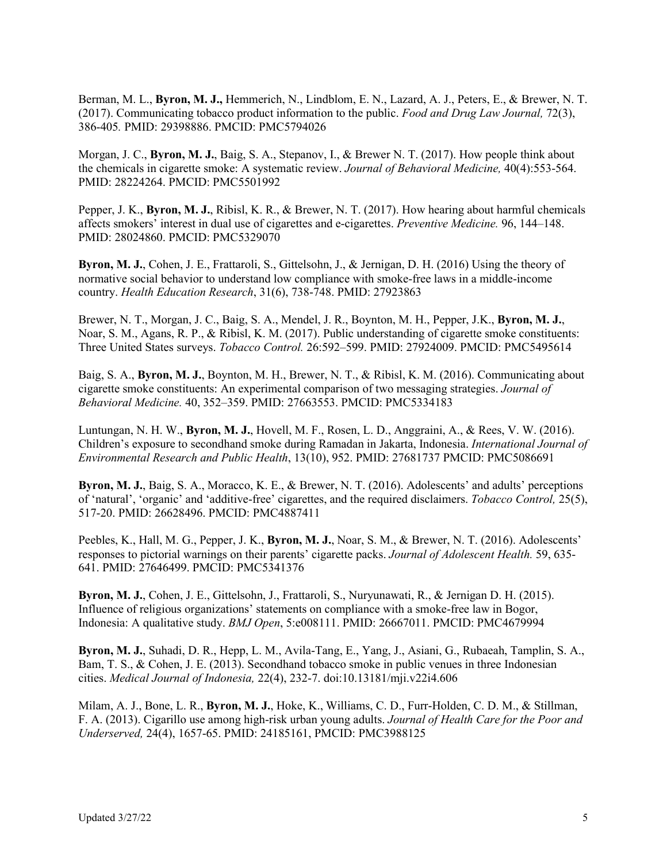Berman, M. L., **Byron, M. J.,** Hemmerich, N., Lindblom, E. N., Lazard, A. J., Peters, E., & Brewer, N. T. (2017). Communicating tobacco product information to the public. *Food and Drug Law Journal,* 72(3), 386-405*.* PMID: 29398886. PMCID: PMC5794026

Morgan, J. C., **Byron, M. J.**, Baig, S. A., Stepanov, I., & Brewer N. T. (2017). How people think about the chemicals in cigarette smoke: A systematic review. *Journal of Behavioral Medicine,* 40(4):553-564. PMID: 28224264. PMCID: PMC5501992

Pepper, J. K., **Byron, M. J.**, Ribisl, K. R., & Brewer, N. T. (2017). How hearing about harmful chemicals affects smokers' interest in dual use of cigarettes and e-cigarettes. *Preventive Medicine.* 96, 144–148. PMID: 28024860. PMCID: PMC5329070

**Byron, M. J.**, Cohen, J. E., Frattaroli, S., Gittelsohn, J., & Jernigan, D. H. (2016) Using the theory of normative social behavior to understand low compliance with smoke-free laws in a middle-income country. *Health Education Research*, 31(6), 738-748. PMID: 27923863

Brewer, N. T., Morgan, J. C., Baig, S. A., Mendel, J. R., Boynton, M. H., Pepper, J.K., **Byron, M. J.**, Noar, S. M., Agans, R. P., & Ribisl, K. M. (2017). Public understanding of cigarette smoke constituents: Three United States surveys. *Tobacco Control.* 26:592–599. PMID: 27924009. PMCID: PMC5495614

Baig, S. A., **Byron, M. J.**, Boynton, M. H., Brewer, N. T., & Ribisl, K. M. (2016). Communicating about cigarette smoke constituents: An experimental comparison of two messaging strategies. *Journal of Behavioral Medicine.* 40, 352–359. PMID: 27663553. PMCID: PMC5334183

Luntungan, N. H. W., **Byron, M. J.**, Hovell, M. F., Rosen, L. D., Anggraini, A., & Rees, V. W. (2016). Children's exposure to secondhand smoke during Ramadan in Jakarta, Indonesia. *International Journal of Environmental Research and Public Health*, 13(10), 952. PMID: 27681737 PMCID: PMC5086691

**Byron, M. J.**, Baig, S. A., Moracco, K. E., & Brewer, N. T. (2016). Adolescents' and adults' perceptions of 'natural', 'organic' and 'additive-free' cigarettes, and the required disclaimers. *Tobacco Control,* 25(5), 517-20. PMID: 26628496. PMCID: PMC4887411

Peebles, K., Hall, M. G., Pepper, J. K., **Byron, M. J.**, Noar, S. M., & Brewer, N. T. (2016). Adolescents' responses to pictorial warnings on their parents' cigarette packs. *Journal of Adolescent Health.* 59, 635- 641. PMID: 27646499. PMCID: PMC5341376

**Byron, M. J.**, Cohen, J. E., Gittelsohn, J., Frattaroli, S., Nuryunawati, R., & Jernigan D. H. (2015). Influence of religious organizations' statements on compliance with a smoke-free law in Bogor, Indonesia: A qualitative study. *BMJ Open*, 5:e008111. PMID: 26667011. PMCID: PMC4679994

**Byron, M. J.**, Suhadi, D. R., Hepp, L. M., Avila-Tang, E., Yang, J., Asiani, G., Rubaeah, Tamplin, S. A., Bam, T. S., & Cohen, J. E. (2013). Secondhand tobacco smoke in public venues in three Indonesian cities. *Medical Journal of Indonesia,* 22(4), 232-7. doi:10.13181/mji.v22i4.606

Milam, A. J., Bone, L. R., **Byron, M. J.**, Hoke, K., Williams, C. D., Furr-Holden, C. D. M., & Stillman, F. A. (2013). Cigarillo use among high-risk urban young adults. *Journal of Health Care for the Poor and Underserved,* 24(4), 1657-65. PMID: 24185161, PMCID: PMC3988125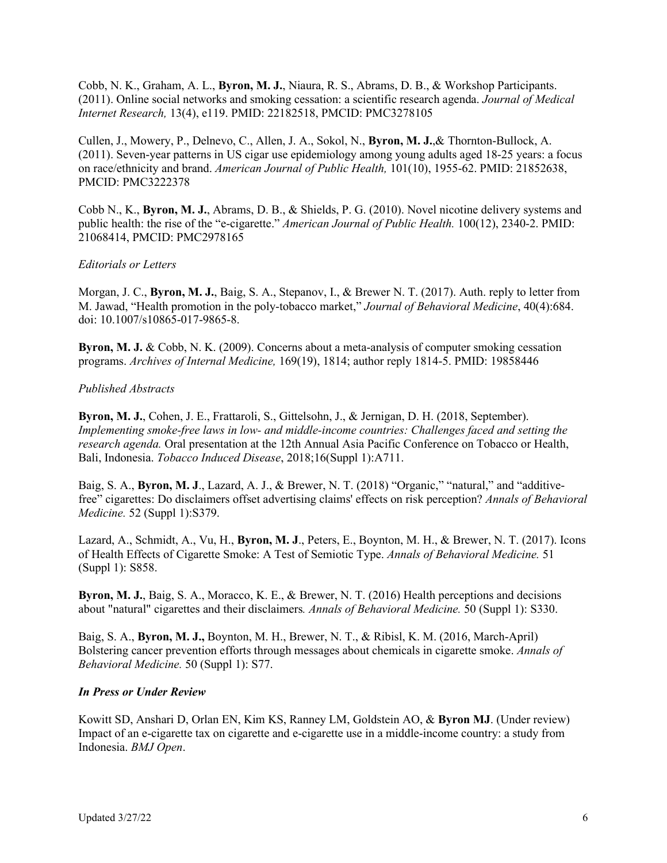Cobb, N. K., Graham, A. L., **Byron, M. J.**, Niaura, R. S., Abrams, D. B., & Workshop Participants. (2011). Online social networks and smoking cessation: a scientific research agenda. *Journal of Medical Internet Research,* 13(4), e119. PMID: 22182518, PMCID: PMC3278105

Cullen, J., Mowery, P., Delnevo, C., Allen, J. A., Sokol, N., **Byron, M. J.**,& Thornton-Bullock, A. (2011). Seven-year patterns in US cigar use epidemiology among young adults aged 18-25 years: a focus on race/ethnicity and brand. *American Journal of Public Health,* 101(10), 1955-62. PMID: 21852638, PMCID: PMC3222378

Cobb N., K., **Byron, M. J.**, Abrams, D. B., & Shields, P. G. (2010). Novel nicotine delivery systems and public health: the rise of the "e-cigarette." *American Journal of Public Health.* 100(12), 2340-2. PMID: 21068414, PMCID: PMC2978165

## *Editorials or Letters*

Morgan, J. C., **Byron, M. J.**, Baig, S. A., Stepanov, I., & Brewer N. T. (2017). Auth. reply to letter from M. Jawad, "Health promotion in the poly-tobacco market," *Journal of Behavioral Medicine*, 40(4):684. doi: 10.1007/s10865-017-9865-8.

**Byron, M. J.** & Cobb, N. K. (2009). Concerns about a meta-analysis of computer smoking cessation programs. *Archives of Internal Medicine,* 169(19), 1814; author reply 1814-5. PMID: 19858446

## *Published Abstracts*

**Byron, M. J.**, Cohen, J. E., Frattaroli, S., Gittelsohn, J., & Jernigan, D. H. (2018, September). *Implementing smoke-free laws in low- and middle-income countries: Challenges faced and setting the research agenda.* Oral presentation at the 12th Annual Asia Pacific Conference on Tobacco or Health, Bali, Indonesia. *Tobacco Induced Disease*, 2018;16(Suppl 1):A711.

Baig, S. A., **Byron, M. J**., Lazard, A. J., & Brewer, N. T. (2018) "Organic," "natural," and "additivefree" cigarettes: Do disclaimers offset advertising claims' effects on risk perception? *Annals of Behavioral Medicine.* 52 (Suppl 1):S379.

Lazard, A., Schmidt, A., Vu, H., **Byron, M. J**., Peters, E., Boynton, M. H., & Brewer, N. T. (2017). Icons of Health Effects of Cigarette Smoke: A Test of Semiotic Type. *Annals of Behavioral Medicine.* 51 (Suppl 1): S858.

**Byron, M. J.**, Baig, S. A., Moracco, K. E., & Brewer, N. T. (2016) Health perceptions and decisions about "natural" cigarettes and their disclaimers*. Annals of Behavioral Medicine.* 50 (Suppl 1): S330.

Baig, S. A., **Byron, M. J.,** Boynton, M. H., Brewer, N. T., & Ribisl, K. M. (2016, March-April) Bolstering cancer prevention efforts through messages about chemicals in cigarette smoke. *Annals of Behavioral Medicine.* 50 (Suppl 1): S77.

#### *In Press or Under Review*

Kowitt SD, Anshari D, Orlan EN, Kim KS, Ranney LM, Goldstein AO, & **Byron MJ**. (Under review) Impact of an e-cigarette tax on cigarette and e-cigarette use in a middle-income country: a study from Indonesia. *BMJ Open*.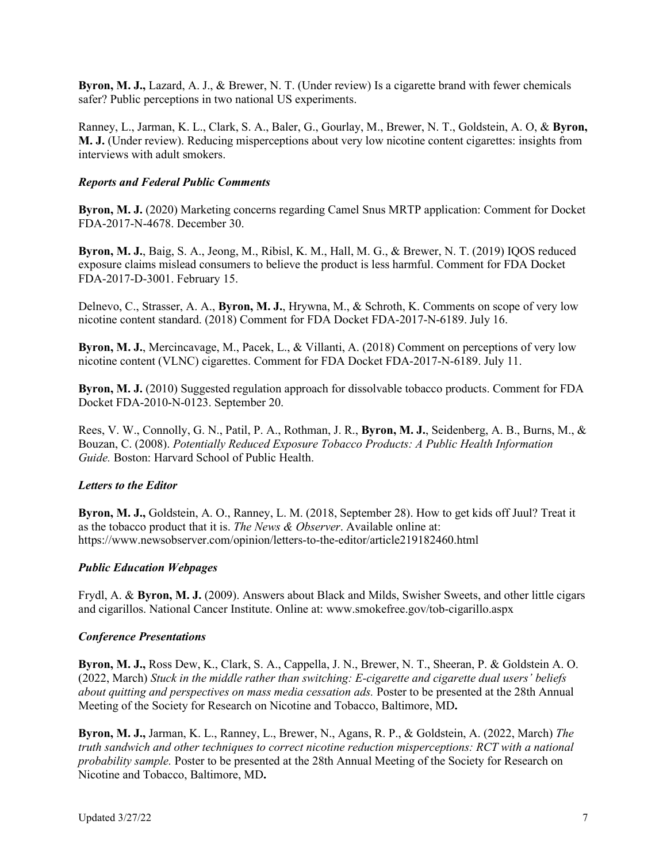**Byron, M. J.,** Lazard, A. J., & Brewer, N. T. (Under review) Is a cigarette brand with fewer chemicals safer? Public perceptions in two national US experiments.

Ranney, L., Jarman, K. L., Clark, S. A., Baler, G., Gourlay, M., Brewer, N. T., Goldstein, A. O, & **Byron, M. J.** (Under review). Reducing misperceptions about very low nicotine content cigarettes: insights from interviews with adult smokers.

# *Reports and Federal Public Comments*

**Byron, M. J.** (2020) Marketing concerns regarding Camel Snus MRTP application: Comment for Docket FDA-2017-N-4678. December 30.

**Byron, M. J.**, Baig, S. A., Jeong, M., Ribisl, K. M., Hall, M. G., & Brewer, N. T. (2019) IQOS reduced exposure claims mislead consumers to believe the product is less harmful. Comment for FDA Docket FDA-2017-D-3001. February 15.

Delnevo, C., Strasser, A. A., **Byron, M. J.**, Hrywna, M., & Schroth, K. Comments on scope of very low nicotine content standard. (2018) Comment for FDA Docket FDA-2017-N-6189. July 16.

**Byron, M. J.**, Mercincavage, M., Pacek, L., & Villanti, A. (2018) Comment on perceptions of very low nicotine content (VLNC) cigarettes. Comment for FDA Docket FDA-2017-N-6189. July 11.

**Byron, M. J.** (2010) Suggested regulation approach for dissolvable tobacco products. Comment for FDA Docket FDA-2010-N-0123. September 20.

Rees, V. W., Connolly, G. N., Patil, P. A., Rothman, J. R., **Byron, M. J.**, Seidenberg, A. B., Burns, M., & Bouzan, C. (2008). *Potentially Reduced Exposure Tobacco Products: A Public Health Information Guide.* Boston: Harvard School of Public Health.

## *Letters to the Editor*

**Byron, M. J.,** Goldstein, A. O., Ranney, L. M. (2018, September 28). How to get kids off Juul? Treat it as the tobacco product that it is. *The News & Observer*. Available online at: https://www.newsobserver.com/opinion/letters-to-the-editor/article219182460.html

## *Public Education Webpages*

Frydl, A. & **Byron, M. J.** (2009). Answers about Black and Milds, Swisher Sweets, and other little cigars and cigarillos. National Cancer Institute. Online at: www.smokefree.gov/tob-cigarillo.aspx

## *Conference Presentations*

**Byron, M. J.,** Ross Dew, K., Clark, S. A., Cappella, J. N., Brewer, N. T., Sheeran, P. & Goldstein A. O. (2022, March) *Stuck in the middle rather than switching: E-cigarette and cigarette dual users' beliefs about quitting and perspectives on mass media cessation ads.* Poster to be presented at the 28th Annual Meeting of the Society for Research on Nicotine and Tobacco, Baltimore, MD**.**

**Byron, M. J.,** Jarman, K. L., Ranney, L., Brewer, N., Agans, R. P., & Goldstein, A. (2022, March) *The truth sandwich and other techniques to correct nicotine reduction misperceptions: RCT with a national probability sample.* Poster to be presented at the 28th Annual Meeting of the Society for Research on Nicotine and Tobacco, Baltimore, MD**.**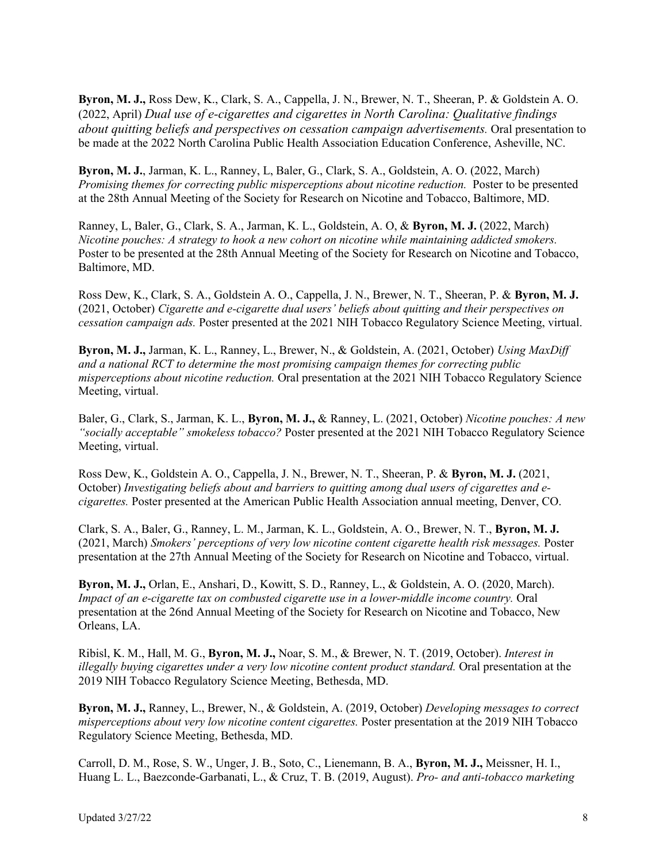**Byron, M. J.,** Ross Dew, K., Clark, S. A., Cappella, J. N., Brewer, N. T., Sheeran, P. & Goldstein A. O. (2022, April) *Dual use of e-cigarettes and cigarettes in North Carolina: Qualitative findings about quitting beliefs and perspectives on cessation campaign advertisements.* Oral presentation to be made at the 2022 North Carolina Public Health Association Education Conference, Asheville, NC.

**Byron, M. J.**, Jarman, K. L., Ranney, L, Baler, G., Clark, S. A., Goldstein, A. O. (2022, March) *Promising themes for correcting public misperceptions about nicotine reduction.* Poster to be presented at the 28th Annual Meeting of the Society for Research on Nicotine and Tobacco, Baltimore, MD.

Ranney, L, Baler, G., Clark, S. A., Jarman, K. L., Goldstein, A. O, & **Byron, M. J.** (2022, March) *Nicotine pouches: A strategy to hook a new cohort on nicotine while maintaining addicted smokers.* Poster to be presented at the 28th Annual Meeting of the Society for Research on Nicotine and Tobacco, Baltimore, MD.

Ross Dew, K., Clark, S. A., Goldstein A. O., Cappella, J. N., Brewer, N. T., Sheeran, P. & **Byron, M. J.**  (2021, October) *Cigarette and e-cigarette dual users' beliefs about quitting and their perspectives on cessation campaign ads.* Poster presented at the 2021 NIH Tobacco Regulatory Science Meeting, virtual.

**Byron, M. J.,** Jarman, K. L., Ranney, L., Brewer, N., & Goldstein, A. (2021, October) *Using MaxDiff and a national RCT to determine the most promising campaign themes for correcting public misperceptions about nicotine reduction.* Oral presentation at the 2021 NIH Tobacco Regulatory Science Meeting, virtual.

Baler, G., Clark, S., Jarman, K. L., **Byron, M. J.,** & Ranney, L. (2021, October) *Nicotine pouches: A new "socially acceptable" smokeless tobacco?* Poster presented at the 2021 NIH Tobacco Regulatory Science Meeting, virtual.

Ross Dew, K., Goldstein A. O., Cappella, J. N., Brewer, N. T., Sheeran, P. & **Byron, M. J.** (2021, October) *Investigating beliefs about and barriers to quitting among dual users of cigarettes and ecigarettes.* Poster presented at the American Public Health Association annual meeting, Denver, CO.

Clark, S. A., Baler, G., Ranney, L. M., Jarman, K. L., Goldstein, A. O., Brewer, N. T., **Byron, M. J.**  (2021, March) *Smokers' perceptions of very low nicotine content cigarette health risk messages.* Poster presentation at the 27th Annual Meeting of the Society for Research on Nicotine and Tobacco, virtual.

**Byron, M. J.,** Orlan, E., Anshari, D., Kowitt, S. D., Ranney, L., & Goldstein, A. O. (2020, March). *Impact of an e-cigarette tax on combusted cigarette use in a lower-middle income country.* Oral presentation at the 26nd Annual Meeting of the Society for Research on Nicotine and Tobacco, New Orleans, LA.

Ribisl, K. M., Hall, M. G., **Byron, M. J.,** Noar, S. M., & Brewer, N. T. (2019, October). *Interest in illegally buying cigarettes under a very low nicotine content product standard.* Oral presentation at the 2019 NIH Tobacco Regulatory Science Meeting, Bethesda, MD.

**Byron, M. J.,** Ranney, L., Brewer, N., & Goldstein, A. (2019, October) *Developing messages to correct misperceptions about very low nicotine content cigarettes.* Poster presentation at the 2019 NIH Tobacco Regulatory Science Meeting, Bethesda, MD.

Carroll, D. M., Rose, S. W., Unger, J. B., Soto, C., Lienemann, B. A., **Byron, M. J.,** Meissner, H. I., Huang L. L., Baezconde-Garbanati, L., & Cruz, T. B. (2019, August). *Pro- and anti-tobacco marketing*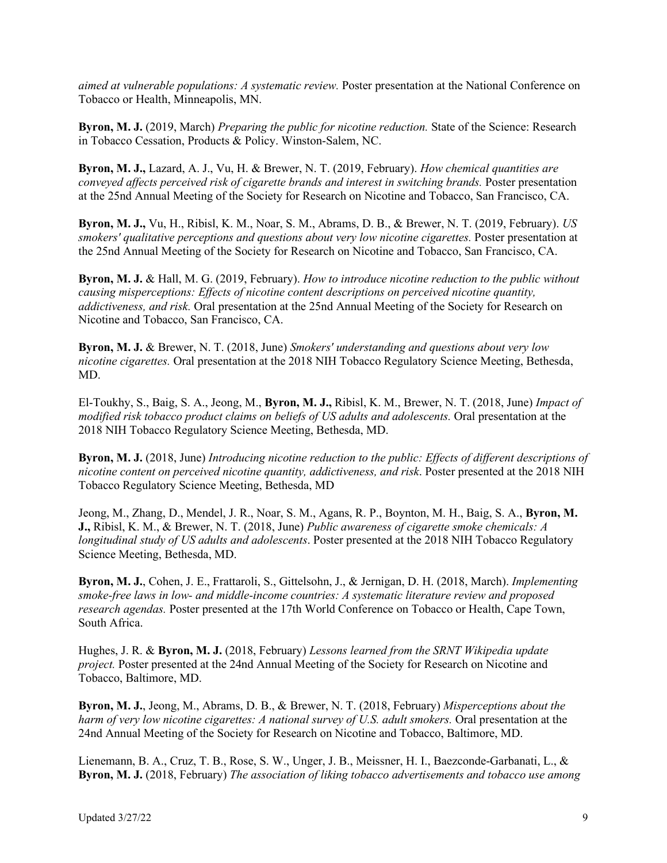*aimed at vulnerable populations: A systematic review.* Poster presentation at the National Conference on Tobacco or Health, Minneapolis, MN.

**Byron, M. J.** (2019, March) *Preparing the public for nicotine reduction.* State of the Science: Research in Tobacco Cessation, Products & Policy. Winston-Salem, NC.

**Byron, M. J.,** Lazard, A. J., Vu, H. & Brewer, N. T. (2019, February). *How chemical quantities are conveyed affects perceived risk of cigarette brands and interest in switching brands.* Poster presentation at the 25nd Annual Meeting of the Society for Research on Nicotine and Tobacco, San Francisco, CA.

**Byron, M. J.,** Vu, H., Ribisl, K. M., Noar, S. M., Abrams, D. B., & Brewer, N. T. (2019, February). *US smokers' qualitative perceptions and questions about very low nicotine cigarettes.* Poster presentation at the 25nd Annual Meeting of the Society for Research on Nicotine and Tobacco, San Francisco, CA.

**Byron, M. J.** & Hall, M. G. (2019, February). *How to introduce nicotine reduction to the public without causing misperceptions: Effects of nicotine content descriptions on perceived nicotine quantity, addictiveness, and risk.* Oral presentation at the 25nd Annual Meeting of the Society for Research on Nicotine and Tobacco, San Francisco, CA.

**Byron, M. J.** & Brewer, N. T. (2018, June) *Smokers' understanding and questions about very low nicotine cigarettes.* Oral presentation at the 2018 NIH Tobacco Regulatory Science Meeting, Bethesda, MD.

El-Toukhy, S., Baig, S. A., Jeong, M., **Byron, M. J.,** Ribisl, K. M., Brewer, N. T. (2018, June) *Impact of modified risk tobacco product claims on beliefs of US adults and adolescents.* Oral presentation at the 2018 NIH Tobacco Regulatory Science Meeting, Bethesda, MD.

**Byron, M. J.** (2018, June) *Introducing nicotine reduction to the public: Effects of different descriptions of nicotine content on perceived nicotine quantity, addictiveness, and risk*. Poster presented at the 2018 NIH Tobacco Regulatory Science Meeting, Bethesda, MD

Jeong, M., Zhang, D., Mendel, J. R., Noar, S. M., Agans, R. P., Boynton, M. H., Baig, S. A., **Byron, M. J.,** Ribisl, K. M., & Brewer, N. T. (2018, June) *Public awareness of cigarette smoke chemicals: A longitudinal study of US adults and adolescents*. Poster presented at the 2018 NIH Tobacco Regulatory Science Meeting, Bethesda, MD.

**Byron, M. J.**, Cohen, J. E., Frattaroli, S., Gittelsohn, J., & Jernigan, D. H. (2018, March). *Implementing smoke-free laws in low- and middle-income countries: A systematic literature review and proposed research agendas.* Poster presented at the 17th World Conference on Tobacco or Health, Cape Town, South Africa.

Hughes, J. R. & **Byron, M. J.** (2018, February) *Lessons learned from the SRNT Wikipedia update project.* Poster presented at the 24nd Annual Meeting of the Society for Research on Nicotine and Tobacco, Baltimore, MD.

**Byron, M. J.**, Jeong, M., Abrams, D. B., & Brewer, N. T. (2018, February) *Misperceptions about the harm of very low nicotine cigarettes: A national survey of U.S. adult smokers.* Oral presentation at the 24nd Annual Meeting of the Society for Research on Nicotine and Tobacco, Baltimore, MD.

Lienemann, B. A., Cruz, T. B., Rose, S. W., Unger, J. B., Meissner, H. I., Baezconde-Garbanati, L., & **Byron, M. J.** (2018, February) *The association of liking tobacco advertisements and tobacco use among*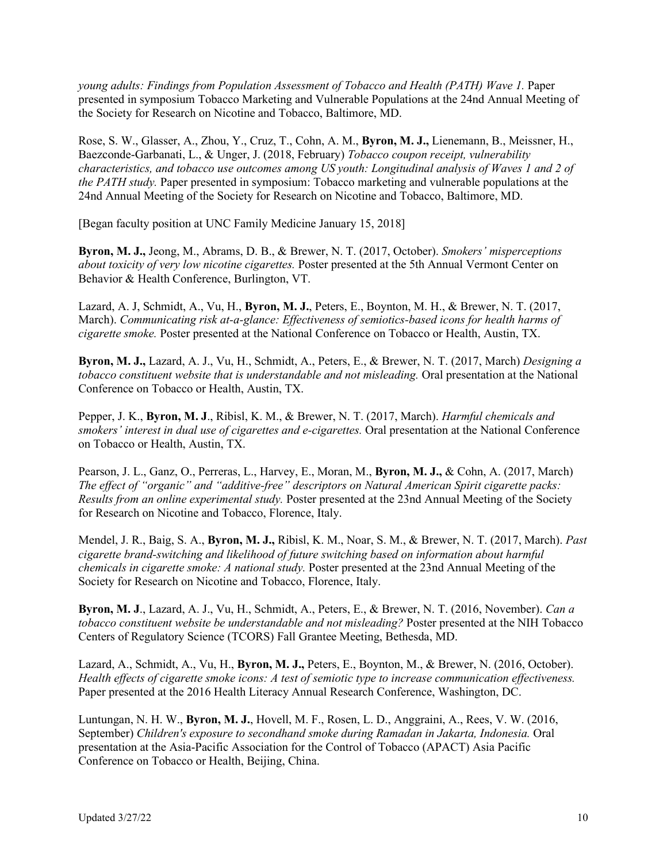*young adults: Findings from Population Assessment of Tobacco and Health (PATH) Wave 1.* Paper presented in symposium Tobacco Marketing and Vulnerable Populations at the 24nd Annual Meeting of the Society for Research on Nicotine and Tobacco, Baltimore, MD.

Rose, S. W., Glasser, A., Zhou, Y., Cruz, T., Cohn, A. M., **Byron, M. J.,** Lienemann, B., Meissner, H., Baezconde-Garbanati, L., & Unger, J. (2018, February) *Tobacco coupon receipt, vulnerability characteristics, and tobacco use outcomes among US youth: Longitudinal analysis of Waves 1 and 2 of the PATH study.* Paper presented in symposium: Tobacco marketing and vulnerable populations at the 24nd Annual Meeting of the Society for Research on Nicotine and Tobacco, Baltimore, MD.

[Began faculty position at UNC Family Medicine January 15, 2018]

**Byron, M. J.,** Jeong, M., Abrams, D. B., & Brewer, N. T. (2017, October). *Smokers' misperceptions about toxicity of very low nicotine cigarettes.* Poster presented at the 5th Annual Vermont Center on Behavior & Health Conference, Burlington, VT.

Lazard, A. J, Schmidt, A., Vu, H., **Byron, M. J.**, Peters, E., Boynton, M. H., & Brewer, N. T. (2017, March). *Communicating risk at-a-glance: Effectiveness of semiotics-based icons for health harms of cigarette smoke.* Poster presented at the National Conference on Tobacco or Health, Austin, TX.

**Byron, M. J.,** Lazard, A. J., Vu, H., Schmidt, A., Peters, E., & Brewer, N. T. (2017, March) *Designing a tobacco constituent website that is understandable and not misleading.* Oral presentation at the National Conference on Tobacco or Health, Austin, TX.

Pepper, J. K., **Byron, M. J**., Ribisl, K. M., & Brewer, N. T. (2017, March). *Harmful chemicals and smokers' interest in dual use of cigarettes and e-cigarettes.* Oral presentation at the National Conference on Tobacco or Health, Austin, TX.

Pearson, J. L., Ganz, O., Perreras, L., Harvey, E., Moran, M., **Byron, M. J.,** & Cohn, A. (2017, March) *The effect of "organic" and "additive-free" descriptors on Natural American Spirit cigarette packs: Results from an online experimental study.* Poster presented at the 23nd Annual Meeting of the Society for Research on Nicotine and Tobacco, Florence, Italy.

Mendel, J. R., Baig, S. A., **Byron, M. J.,** Ribisl, K. M., Noar, S. M., & Brewer, N. T. (2017, March). *Past cigarette brand-switching and likelihood of future switching based on information about harmful chemicals in cigarette smoke: A national study.* Poster presented at the 23nd Annual Meeting of the Society for Research on Nicotine and Tobacco, Florence, Italy.

**Byron, M. J**., Lazard, A. J., Vu, H., Schmidt, A., Peters, E., & Brewer, N. T. (2016, November). *Can a tobacco constituent website be understandable and not misleading?* Poster presented at the NIH Tobacco Centers of Regulatory Science (TCORS) Fall Grantee Meeting, Bethesda, MD.

Lazard, A., Schmidt, A., Vu, H., **Byron, M. J.,** Peters, E., Boynton, M., & Brewer, N. (2016, October). *Health effects of cigarette smoke icons: A test of semiotic type to increase communication effectiveness.*  Paper presented at the 2016 Health Literacy Annual Research Conference, Washington, DC.

Luntungan, N. H. W., **Byron, M. J.**, Hovell, M. F., Rosen, L. D., Anggraini, A., Rees, V. W. (2016, September) *Children's exposure to secondhand smoke during Ramadan in Jakarta, Indonesia.* Oral presentation at the Asia-Pacific Association for the Control of Tobacco (APACT) Asia Pacific Conference on Tobacco or Health, Beijing, China.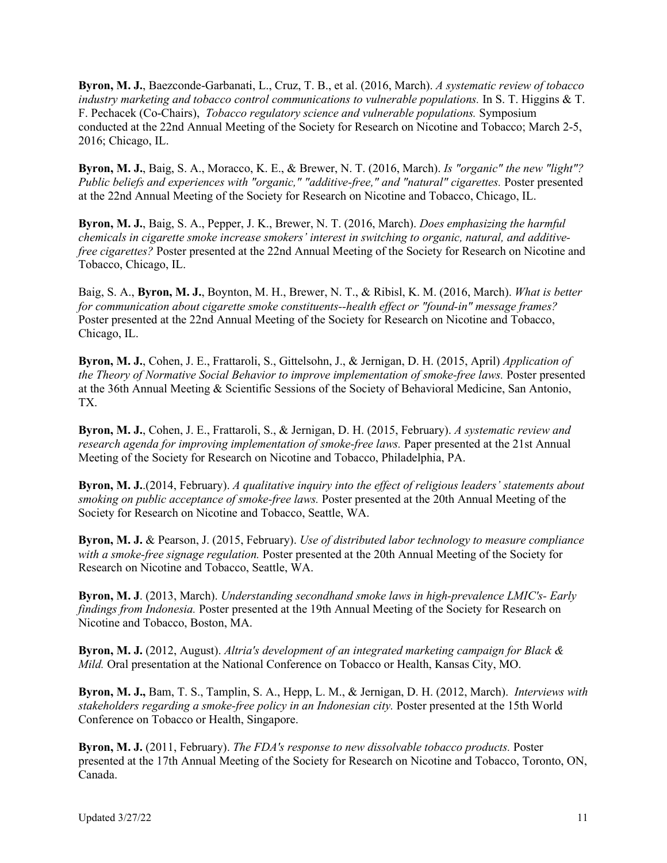**Byron, M. J.**, Baezconde-Garbanati, L., Cruz, T. B., et al. (2016, March). *A systematic review of tobacco industry marketing and tobacco control communications to vulnerable populations.* In S. T. Higgins & T. F. Pechacek (Co-Chairs), *Tobacco regulatory science and vulnerable populations.* Symposium conducted at the 22nd Annual Meeting of the Society for Research on Nicotine and Tobacco; March 2-5, 2016; Chicago, IL.

**Byron, M. J.**, Baig, S. A., Moracco, K. E., & Brewer, N. T. (2016, March). *Is "organic" the new "light"? Public beliefs and experiences with "organic," "additive-free," and "natural" cigarettes.* Poster presented at the 22nd Annual Meeting of the Society for Research on Nicotine and Tobacco, Chicago, IL.

**Byron, M. J.**, Baig, S. A., Pepper, J. K., Brewer, N. T. (2016, March). *Does emphasizing the harmful chemicals in cigarette smoke increase smokers' interest in switching to organic, natural, and additivefree cigarettes?* Poster presented at the 22nd Annual Meeting of the Society for Research on Nicotine and Tobacco, Chicago, IL.

Baig, S. A., **Byron, M. J.**, Boynton, M. H., Brewer, N. T., & Ribisl, K. M. (2016, March). *What is better for communication about cigarette smoke constituents--health effect or "found-in" message frames?* Poster presented at the 22nd Annual Meeting of the Society for Research on Nicotine and Tobacco, Chicago, IL.

**Byron, M. J.**, Cohen, J. E., Frattaroli, S., Gittelsohn, J., & Jernigan, D. H. (2015, April) *Application of the Theory of Normative Social Behavior to improve implementation of smoke-free laws.* Poster presented at the 36th Annual Meeting & Scientific Sessions of the Society of Behavioral Medicine, San Antonio, TX.

**Byron, M. J.**, Cohen, J. E., Frattaroli, S., & Jernigan, D. H. (2015, February). *A systematic review and research agenda for improving implementation of smoke-free laws.* Paper presented at the 21st Annual Meeting of the Society for Research on Nicotine and Tobacco, Philadelphia, PA.

**Byron, M. J.**.(2014, February). *A qualitative inquiry into the effect of religious leaders' statements about smoking on public acceptance of smoke-free laws.* Poster presented at the 20th Annual Meeting of the Society for Research on Nicotine and Tobacco, Seattle, WA.

**Byron, M. J.** & Pearson, J. (2015, February). *Use of distributed labor technology to measure compliance with a smoke-free signage regulation.* Poster presented at the 20th Annual Meeting of the Society for Research on Nicotine and Tobacco, Seattle, WA.

**Byron, M. J**. (2013, March). *Understanding secondhand smoke laws in high-prevalence LMIC's- Early findings from Indonesia.* Poster presented at the 19th Annual Meeting of the Society for Research on Nicotine and Tobacco, Boston, MA.

**Byron, M. J.** (2012, August). *Altria's development of an integrated marketing campaign for Black & Mild.* Oral presentation at the National Conference on Tobacco or Health, Kansas City, MO.

**Byron, M. J.,** Bam, T. S., Tamplin, S. A., Hepp, L. M., & Jernigan, D. H. (2012, March). *Interviews with stakeholders regarding a smoke-free policy in an Indonesian city.* Poster presented at the 15th World Conference on Tobacco or Health, Singapore.

**Byron, M. J.** (2011, February). *The FDA's response to new dissolvable tobacco products.* Poster presented at the 17th Annual Meeting of the Society for Research on Nicotine and Tobacco, Toronto, ON, Canada.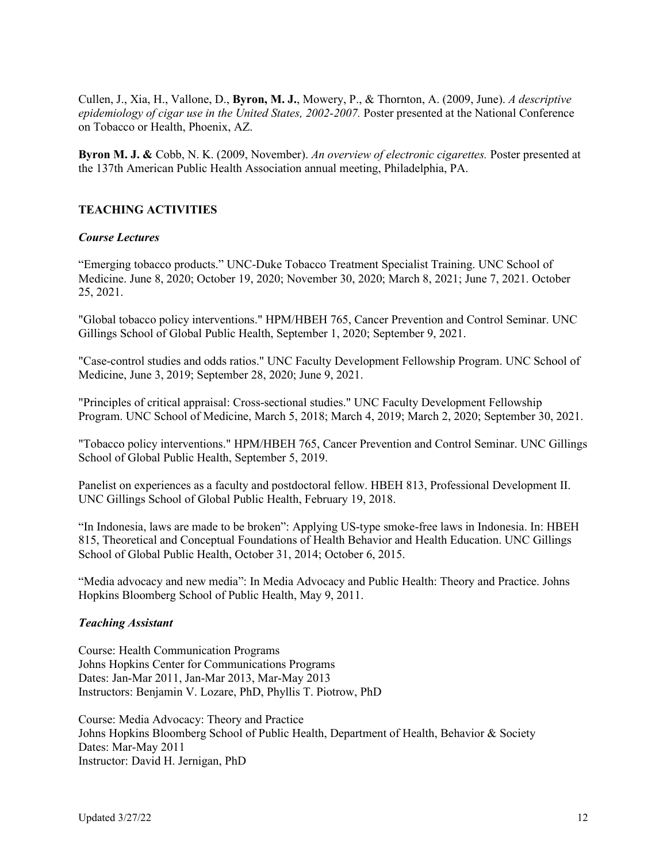Cullen, J., Xia, H., Vallone, D., **Byron, M. J.**, Mowery, P., & Thornton, A. (2009, June). *A descriptive epidemiology of cigar use in the United States, 2002-2007.* Poster presented at the National Conference on Tobacco or Health, Phoenix, AZ.

**Byron M. J. &** Cobb, N. K. (2009, November). *An overview of electronic cigarettes.* Poster presented at the 137th American Public Health Association annual meeting, Philadelphia, PA.

# **TEACHING ACTIVITIES**

## *Course Lectures*

"Emerging tobacco products." UNC-Duke Tobacco Treatment Specialist Training. UNC School of Medicine. June 8, 2020; October 19, 2020; November 30, 2020; March 8, 2021; June 7, 2021. October 25, 2021.

"Global tobacco policy interventions." HPM/HBEH 765, Cancer Prevention and Control Seminar. UNC Gillings School of Global Public Health, September 1, 2020; September 9, 2021.

"Case-control studies and odds ratios." UNC Faculty Development Fellowship Program. UNC School of Medicine, June 3, 2019; September 28, 2020; June 9, 2021.

"Principles of critical appraisal: Cross-sectional studies." UNC Faculty Development Fellowship Program. UNC School of Medicine, March 5, 2018; March 4, 2019; March 2, 2020; September 30, 2021.

"Tobacco policy interventions." HPM/HBEH 765, Cancer Prevention and Control Seminar. UNC Gillings School of Global Public Health, September 5, 2019.

Panelist on experiences as a faculty and postdoctoral fellow. HBEH 813, Professional Development II. UNC Gillings School of Global Public Health, February 19, 2018.

"In Indonesia, laws are made to be broken": Applying US-type smoke-free laws in Indonesia. In: HBEH 815, Theoretical and Conceptual Foundations of Health Behavior and Health Education. UNC Gillings School of Global Public Health, October 31, 2014; October 6, 2015.

"Media advocacy and new media": In Media Advocacy and Public Health: Theory and Practice. Johns Hopkins Bloomberg School of Public Health, May 9, 2011.

### *Teaching Assistant*

Course: Health Communication Programs Johns Hopkins Center for Communications Programs Dates: Jan-Mar 2011, Jan-Mar 2013, Mar-May 2013 Instructors: Benjamin V. Lozare, PhD, Phyllis T. Piotrow, PhD

Course: Media Advocacy: Theory and Practice Johns Hopkins Bloomberg School of Public Health, Department of Health, Behavior & Society Dates: Mar-May 2011 Instructor: David H. Jernigan, PhD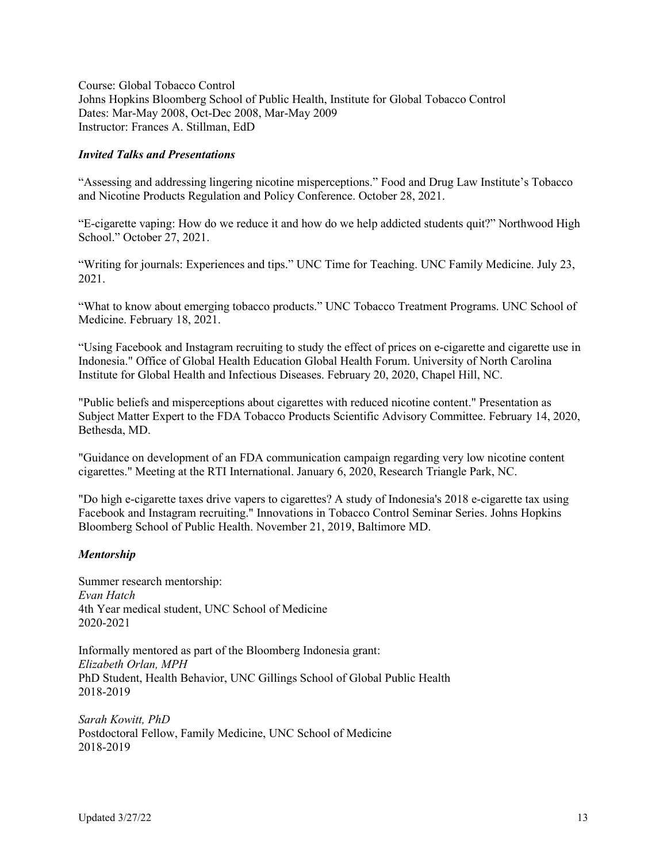Course: Global Tobacco Control Johns Hopkins Bloomberg School of Public Health, Institute for Global Tobacco Control Dates: Mar-May 2008, Oct-Dec 2008, Mar-May 2009 Instructor: Frances A. Stillman, EdD

#### *Invited Talks and Presentations*

"Assessing and addressing lingering nicotine misperceptions." Food and Drug Law Institute's Tobacco and Nicotine Products Regulation and Policy Conference. October 28, 2021.

"E-cigarette vaping: How do we reduce it and how do we help addicted students quit?" Northwood High School." October 27, 2021.

"Writing for journals: Experiences and tips." UNC Time for Teaching. UNC Family Medicine. July 23, 2021.

"What to know about emerging tobacco products." UNC Tobacco Treatment Programs. UNC School of Medicine. February 18, 2021.

"Using Facebook and Instagram recruiting to study the effect of prices on e-cigarette and cigarette use in Indonesia." Office of Global Health Education Global Health Forum. University of North Carolina Institute for Global Health and Infectious Diseases. February 20, 2020, Chapel Hill, NC.

"Public beliefs and misperceptions about cigarettes with reduced nicotine content." Presentation as Subject Matter Expert to the FDA Tobacco Products Scientific Advisory Committee. February 14, 2020, Bethesda, MD.

"Guidance on development of an FDA communication campaign regarding very low nicotine content cigarettes." Meeting at the RTI International. January 6, 2020, Research Triangle Park, NC.

"Do high e-cigarette taxes drive vapers to cigarettes? A study of Indonesia's 2018 e-cigarette tax using Facebook and Instagram recruiting." Innovations in Tobacco Control Seminar Series. Johns Hopkins Bloomberg School of Public Health. November 21, 2019, Baltimore MD.

## *Mentorship*

Summer research mentorship: *Evan Hatch* 4th Year medical student, UNC School of Medicine 2020-2021

Informally mentored as part of the Bloomberg Indonesia grant: *Elizabeth Orlan, MPH* PhD Student, Health Behavior, UNC Gillings School of Global Public Health 2018-2019

*Sarah Kowitt, PhD* Postdoctoral Fellow, Family Medicine, UNC School of Medicine 2018-2019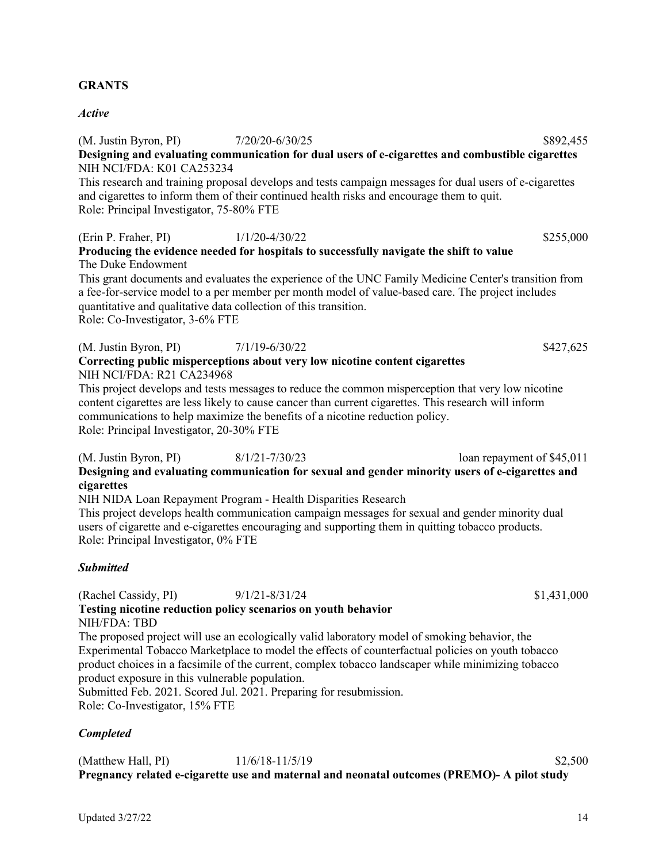## **GRANTS**

#### *Active*

(M. Justin Byron, PI)  $7/20/20-6/30/25$  \$892,455 **Designing and evaluating communication for dual users of e-cigarettes and combustible cigarettes** NIH NCI/FDA: K01 CA253234

This research and training proposal develops and tests campaign messages for dual users of e-cigarettes and cigarettes to inform them of their continued health risks and encourage them to quit. Role: Principal Investigator, 75-80% FTE

(Erin P. Fraher, PI) 1/1/20-4/30/22 \$255,000

**Producing the evidence needed for hospitals to successfully navigate the shift to value** The Duke Endowment

This grant documents and evaluates the experience of the UNC Family Medicine Center's transition from a fee-for-service model to a per member per month model of value-based care. The project includes quantitative and qualitative data collection of this transition. Role: Co-Investigator, 3-6% FTE

(M. Justin Byron, PI)  $7/1/19-6/30/22$  \$427,625 **Correcting public misperceptions about very low nicotine content cigarettes** NIH NCI/FDA: R21 CA234968

This project develops and tests messages to reduce the common misperception that very low nicotine content cigarettes are less likely to cause cancer than current cigarettes. This research will inform communications to help maximize the benefits of a nicotine reduction policy. Role: Principal Investigator, 20-30% FTE

(M. Justin Byron, PI) 8/1/21-7/30/23 loan repayment of \$45,011 **Designing and evaluating communication for sexual and gender minority users of e-cigarettes and cigarettes**

NIH NIDA Loan Repayment Program - Health Disparities Research This project develops health communication campaign messages for sexual and gender minority dual users of cigarette and e-cigarettes encouraging and supporting them in quitting tobacco products. Role: Principal Investigator, 0% FTE

## *Submitted*

(Rachel Cassidy, PI) 9/1/21-8/31/24 \$1,431,000

**Testing nicotine reduction policy scenarios on youth behavior** NIH/FDA: TBD

The proposed project will use an ecologically valid laboratory model of smoking behavior, the Experimental Tobacco Marketplace to model the effects of counterfactual policies on youth tobacco product choices in a facsimile of the current, complex tobacco landscaper while minimizing tobacco product exposure in this vulnerable population.

Submitted Feb. 2021. Scored Jul. 2021. Preparing for resubmission. Role: Co-Investigator, 15% FTE

## *Completed*

(Matthew Hall, PI) 11/6/18-11/5/19 \$2,500 **Pregnancy related e-cigarette use and maternal and neonatal outcomes (PREMO)- A pilot study**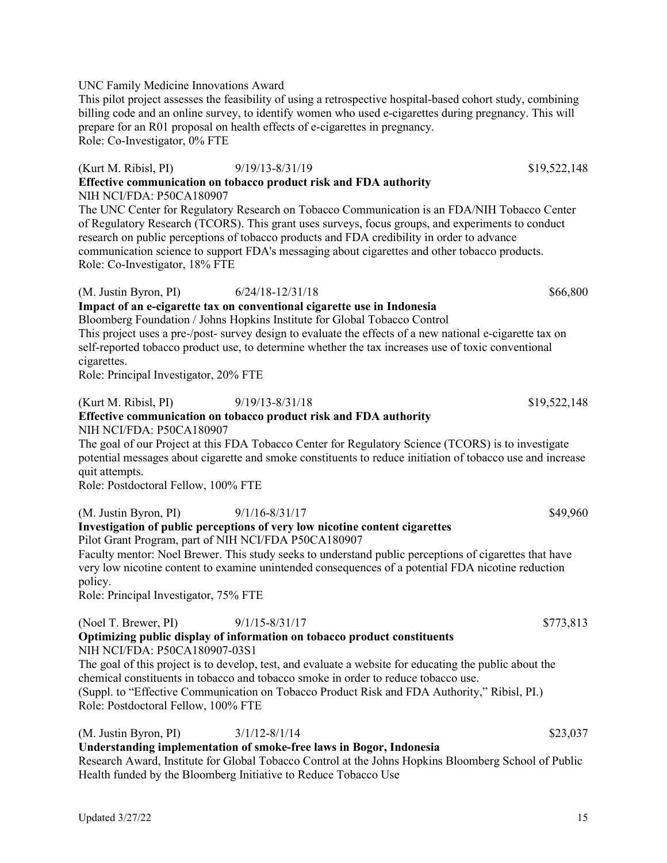## UNC Family Medicine Innovations Award

This pilot project assesses the feasibility of using a retrospective hospital-based cohort study, combining billing code and an online survey, to identify women who used e-cigarettes during pregnancy. This will prepare for an R01 proposal on health effects of e-cigarettes in pregnancy. Role: Co-Investigator, 0% FTE

# (Kurt M. Ribisl, PI) 9/19/13-8/31/19 \$19,522,148 **Effective communication on tobacco product risk and FDA authority** NIH NCI/FDA: P50CA180907

The UNC Center for Regulatory Research on Tobacco Communication is an FDA/NIH Tobacco Center of Regulatory Research (TCORS). This grant uses surveys, focus groups, and experiments to conduct research on public perceptions of tobacco products and FDA credibility in order to advance communication science to support FDA's messaging about cigarettes and other tobacco products. Role: Co-Investigator, 18% FTE

## (M. Justin Byron, PI) 6/24/18-12/31/18 \$66,800

# **Impact of an e-cigarette tax on conventional cigarette use in Indonesia**

Bloomberg Foundation / Johns Hopkins Institute for Global Tobacco Control This project uses a pre-/post- survey design to evaluate the effects of a new national e-cigarette tax on self-reported tobacco product use, to determine whether the tax increases use of toxic conventional cigarettes.

Role: Principal Investigator, 20% FTE

# (Kurt M. Ribisl, PI) 9/19/13-8/31/18 \$19,522,148 **Effective communication on tobacco product risk and FDA authority**

NIH NCI/FDA: P50CA180907

The goal of our Project at this FDA Tobacco Center for Regulatory Science (TCORS) is to investigate potential messages about cigarette and smoke constituents to reduce initiation of tobacco use and increase quit attempts.

Role: Postdoctoral Fellow, 100% FTE

(M. Justin Byron, PI) 9/1/16-8/31/17 \$49,960

## **Investigation of public perceptions of very low nicotine content cigarettes** Pilot Grant Program, part of NIH NCI/FDA P50CA180907

Faculty mentor: Noel Brewer. This study seeks to understand public perceptions of cigarettes that have very low nicotine content to examine unintended consequences of a potential FDA nicotine reduction policy.

Role: Principal Investigator, 75% FTE

(Noel T. Brewer, PI) 9/1/15-8/31/17 \$773,813

NIH NCI/FDA: P50CA180907-03S1

The goal of this project is to develop, test, and evaluate a website for educating the public about the chemical constituents in tobacco and tobacco smoke in order to reduce tobacco use. (Suppl. to "Effective Communication on Tobacco Product Risk and FDA Authority," Ribisl, PI.) Role: Postdoctoral Fellow, 100% FTE

# (M. Justin Byron, PI)  $3/1/12-8/1/14$  \$23,037

**Understanding implementation of smoke-free laws in Bogor, Indonesia**

Research Award, Institute for Global Tobacco Control at the Johns Hopkins Bloomberg School of Public Health funded by the Bloomberg Initiative to Reduce Tobacco Use

**Optimizing public display of information on tobacco product constituents**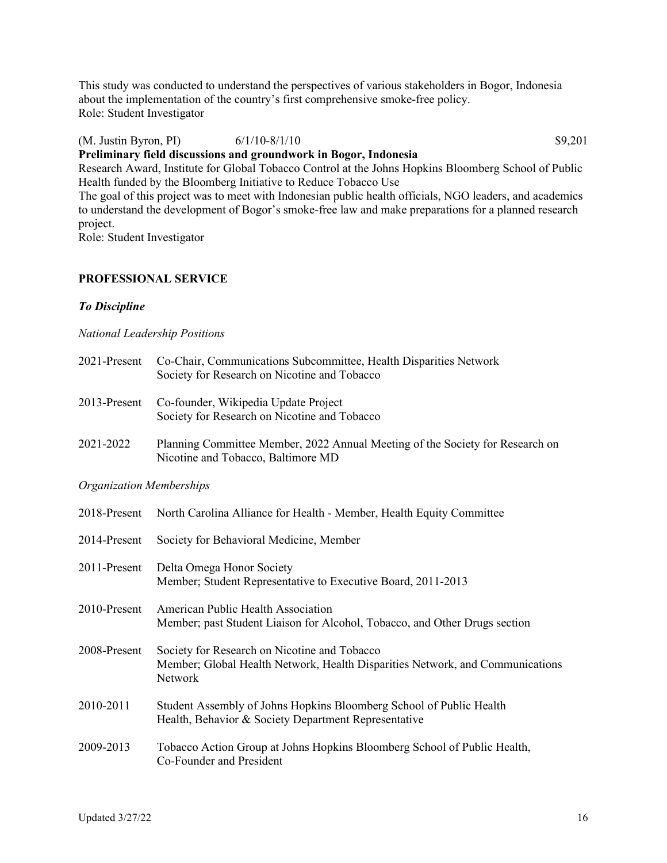This study was conducted to understand the perspectives of various stakeholders in Bogor, Indonesia about the implementation of the country's first comprehensive smoke-free policy. Role: Student Investigator

(M. Justin Byron, PI) 6/1/10-8/1/10 \$9,201

# **Preliminary field discussions and groundwork in Bogor, Indonesia**

Research Award, Institute for Global Tobacco Control at the Johns Hopkins Bloomberg School of Public Health funded by the Bloomberg Initiative to Reduce Tobacco Use

The goal of this project was to meet with Indonesian public health officials, NGO leaders, and academics to understand the development of Bogor's smoke-free law and make preparations for a planned research project.

Role: Student Investigator

# **PROFESSIONAL SERVICE**

## *To Discipline*

## *National Leadership Positions*

| 2021-Present                    | Co-Chair, Communications Subcommittee, Health Disparities Network<br>Society for Research on Nicotine and Tobacco                        |  |  |
|---------------------------------|------------------------------------------------------------------------------------------------------------------------------------------|--|--|
| 2013-Present                    | Co-founder, Wikipedia Update Project<br>Society for Research on Nicotine and Tobacco                                                     |  |  |
| 2021-2022                       | Planning Committee Member, 2022 Annual Meeting of the Society for Research on<br>Nicotine and Tobacco, Baltimore MD                      |  |  |
| <b>Organization Memberships</b> |                                                                                                                                          |  |  |
| 2018-Present                    | North Carolina Alliance for Health - Member, Health Equity Committee                                                                     |  |  |
| 2014-Present                    | Society for Behavioral Medicine, Member                                                                                                  |  |  |
| 2011-Present                    | Delta Omega Honor Society<br>Member; Student Representative to Executive Board, 2011-2013                                                |  |  |
| 2010-Present                    | American Public Health Association<br>Member; past Student Liaison for Alcohol, Tobacco, and Other Drugs section                         |  |  |
| 2008-Present                    | Society for Research on Nicotine and Tobacco<br>Member; Global Health Network, Health Disparities Network, and Communications<br>Network |  |  |
| 2010-2011                       | Student Assembly of Johns Hopkins Bloomberg School of Public Health<br>Health, Behavior & Society Department Representative              |  |  |
| 2009-2013                       | Tobacco Action Group at Johns Hopkins Bloomberg School of Public Health,<br>Co-Founder and President                                     |  |  |